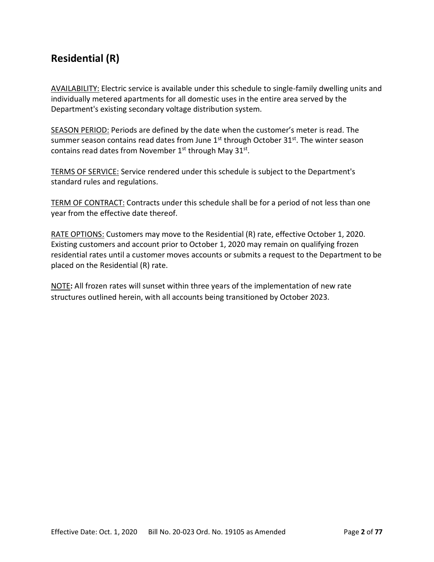## **Residential (R)**

AVAILABILITY: Electric service is available under this schedule to single-family dwelling units and individually metered apartments for all domestic uses in the entire area served by the Department's existing secondary voltage distribution system.

SEASON PERIOD: Periods are defined by the date when the customer's meter is read. The summer season contains read dates from June  $1<sup>st</sup>$  through October  $31<sup>st</sup>$ . The winter season contains read dates from November  $1<sup>st</sup>$  through May 31 $<sup>st</sup>$ .</sup>

TERMS OF SERVICE: Service rendered under this schedule is subject to the Department's standard rules and regulations.

TERM OF CONTRACT: Contracts under this schedule shall be for a period of not less than one year from the effective date thereof.

RATE OPTIONS: Customers may move to the Residential (R) rate, effective October 1, 2020. Existing customers and account prior to October 1, 2020 may remain on qualifying frozen residential rates until a customer moves accounts or submits a request to the Department to be placed on the Residential (R) rate.

NOTE**:** All frozen rates will sunset within three years of the implementation of new rate structures outlined herein, with all accounts being transitioned by October 2023.